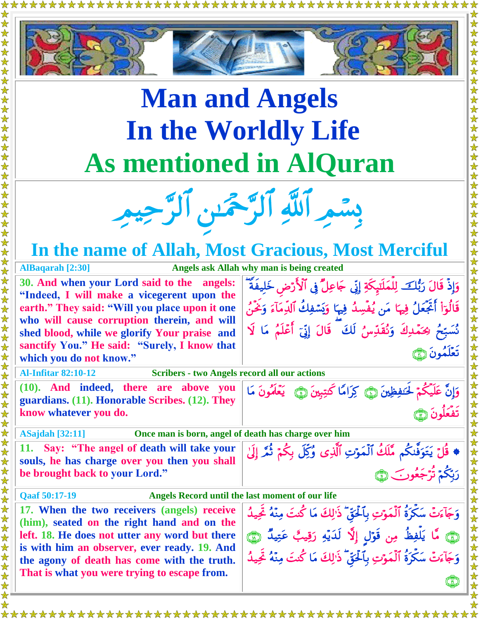

## **Man and Angels In the Worldly Life As mentioned in AlQuran**

بِسْمِرِ اللَّهِ الرَّحْمَٰنِ الرَّحِيمِ

## **In the name of Allah, Most Gracious, Most Merciful**

**AlBaqarah [2:30] Angels ask Allah why man is being created**

**30. And when your Lord said to the angels: "Indeed, I will make a vicegerent upon the earth." They said: "Will you place upon it one who will cause corruption therein, and will shed blood, while we glorify Your praise and sanctify You." He said: "Surely, I know that which you do not know."**

وَإِذْ قَالَ رَبُّكَ لِلْمَلَّتِكَةِ إِنِّي جَاعِلٌ فِي ٱلْأَرْضِ خَلِيفَةُ ۖ قَالُوٓاْ أَتَّجَعَلُ فِيهَا مَن يُفْسِدُ فِيهَا وَيَسۡفِكَ ٱلۡدِمَآءَ وَحۡىٰٓ، نُسَبِّحُ رَحُمَّدِكَ وَنُقَدِّسُ لَكَ ۖ قَالَ إِنِّيٓ أَعْلَمُ مَا لَا تَعَلَّمُونَ ١

وَإِنَّ عَلَيْكُمْ لِحَنفِظِينَ ۞ كِرَامًا كَتِبِينَ ۞ يَعْلَمُونَ مَا

**Al-Infitar 82:10-12 Scribers - two Angels record all our actions**

**(10). And indeed, there are above you guardians. (11). Honorable Scribes. (12). They know whatever you do.**

**ASajdah [32:11] Once man is born, angel of death has charge over him** 

**11. Say: "The angel of death will take your souls, he has charge over you then you shall be brought back to your Lord."**

♦ قُلَّ يَتَوَفَّىكُم مَّلْكَ الْمَوْتِ الَّذِي وُكِلَّ بِكُمْ ثُمَّرٍ إِلَّىٰ رَبَّكُمْ تَرْجَعُونَ ۞

**Qaaf 50:17-19 Angels Record until the last moment of our life**

**17. When the two receivers (angels) receive (him), seated on the right hand and on the left. 18. He does not utter any word but there is with him an observer, ever ready. 19. And the agony of death has come with the truth. That is what you were trying to escape from.**

وَجَأَءَتَّ سَكَرَةَ الْمَوْتِ بِٱلْحَقَّ ذَٰٰٓ لِكَ مَا كُنتَ مِنَّهُ تَحِيدُ  وَجَأَءَتَّ سَكَرَةَ ٱلْمَوْتِ بِٱلْحَقِّ ذَٰٰٓ لِكَ مَا كُنتَ مِنَّهُ تَجِيدُ 

\*\*\*\*\*\*\*\*\*\*\*\*\*\*\*\*\*\*\*\*